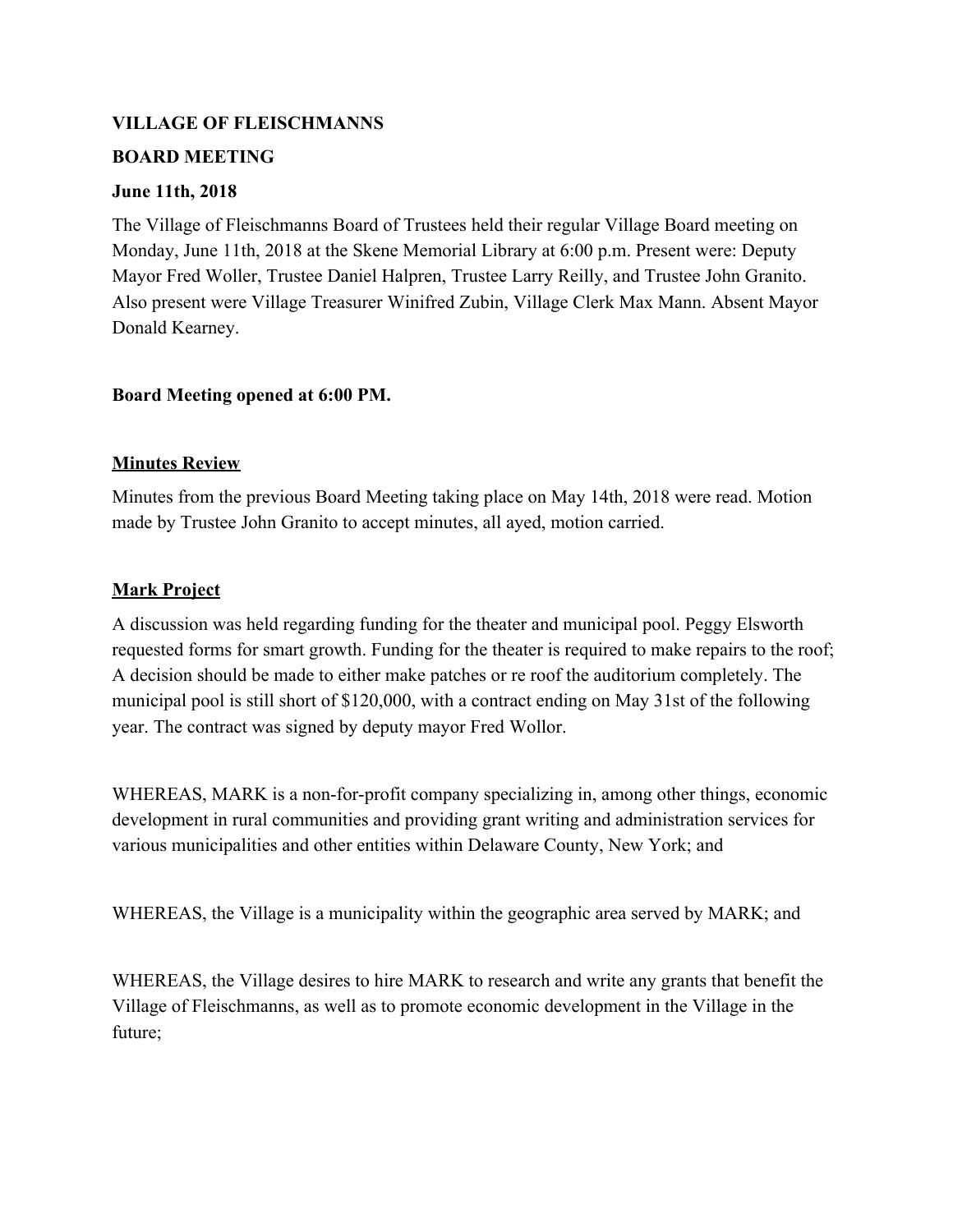## **VILLAGE OF FLEISCHMANNS**

## **BOARD MEETING**

## **June 11th, 2018**

The Village of Fleischmanns Board of Trustees held their regular Village Board meeting on Monday, June 11th, 2018 at the Skene Memorial Library at 6:00 p.m. Present were: Deputy Mayor Fred Woller, Trustee Daniel Halpren, Trustee Larry Reilly, and Trustee John Granito. Also present were Village Treasurer Winifred Zubin, Village Clerk Max Mann. Absent Mayor Donald Kearney.

# **Board Meeting opened at 6:00 PM.**

# **Minutes Review**

Minutes from the previous Board Meeting taking place on May 14th, 2018 were read. Motion made by Trustee John Granito to accept minutes, all ayed, motion carried.

# **Mark Project**

A discussion was held regarding funding for the theater and municipal pool. Peggy Elsworth requested forms for smart growth. Funding for the theater is required to make repairs to the roof; A decision should be made to either make patches or re roof the auditorium completely. The municipal pool is still short of \$120,000, with a contract ending on May 31st of the following year. The contract was signed by deputy mayor Fred Wollor.

WHEREAS, MARK is a non-for-profit company specializing in, among other things, economic development in rural communities and providing grant writing and administration services for various municipalities and other entities within Delaware County, New York; and

WHEREAS, the Village is a municipality within the geographic area served by MARK; and

WHEREAS, the Village desires to hire MARK to research and write any grants that benefit the Village of Fleischmanns, as well as to promote economic development in the Village in the future;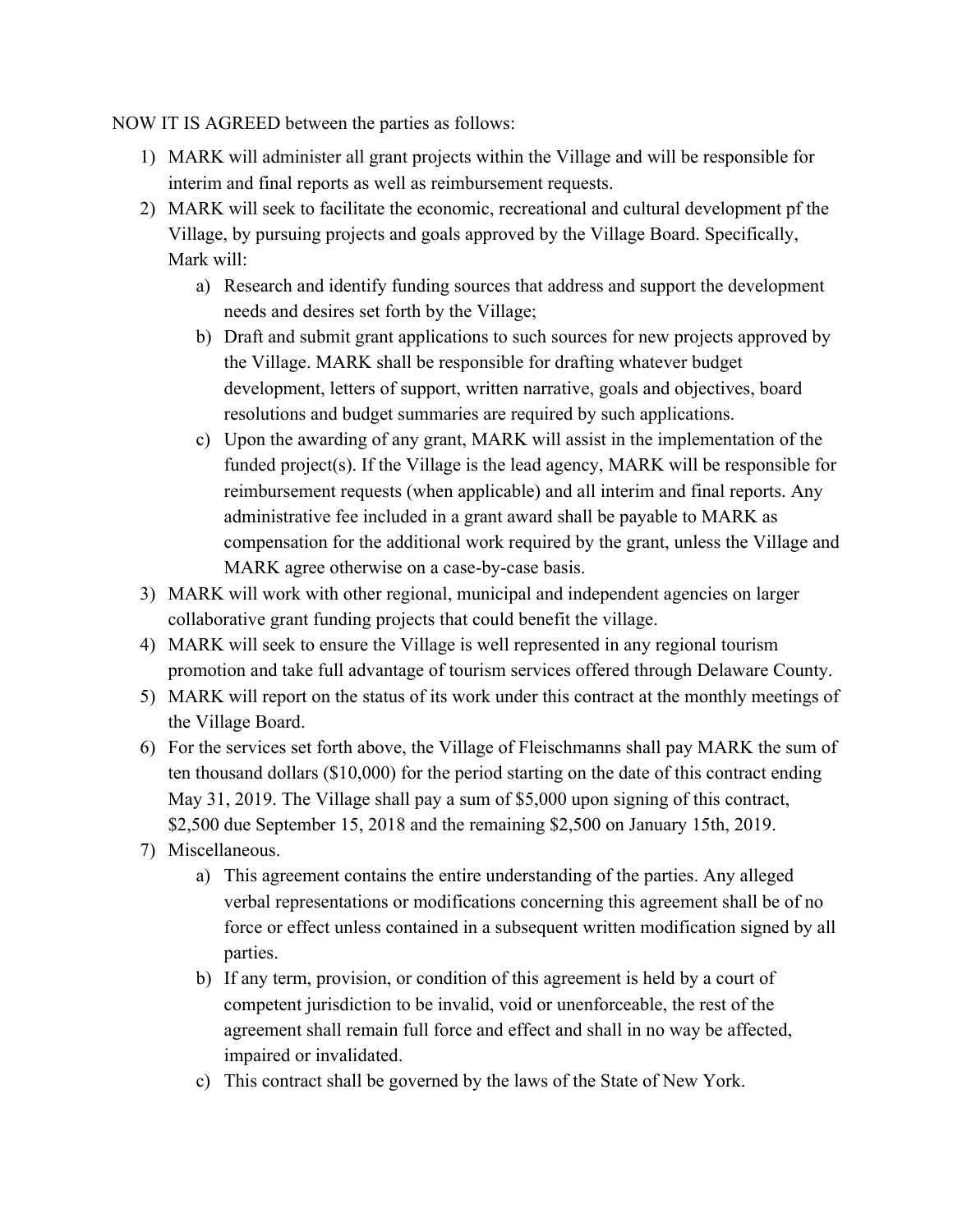NOW IT IS AGREED between the parties as follows:

- 1) MARK will administer all grant projects within the Village and will be responsible for interim and final reports as well as reimbursement requests.
- 2) MARK will seek to facilitate the economic, recreational and cultural development pf the Village, by pursuing projects and goals approved by the Village Board. Specifically, Mark will:
	- a) Research and identify funding sources that address and support the development needs and desires set forth by the Village;
	- b) Draft and submit grant applications to such sources for new projects approved by the Village. MARK shall be responsible for drafting whatever budget development, letters of support, written narrative, goals and objectives, board resolutions and budget summaries are required by such applications.
	- c) Upon the awarding of any grant, MARK will assist in the implementation of the funded project(s). If the Village is the lead agency, MARK will be responsible for reimbursement requests (when applicable) and all interim and final reports. Any administrative fee included in a grant award shall be payable to MARK as compensation for the additional work required by the grant, unless the Village and MARK agree otherwise on a case-by-case basis.
- 3) MARK will work with other regional, municipal and independent agencies on larger collaborative grant funding projects that could benefit the village.
- 4) MARK will seek to ensure the Village is well represented in any regional tourism promotion and take full advantage of tourism services offered through Delaware County.
- 5) MARK will report on the status of its work under this contract at the monthly meetings of the Village Board.
- 6) For the services set forth above, the Village of Fleischmanns shall pay MARK the sum of ten thousand dollars (\$10,000) for the period starting on the date of this contract ending May 31, 2019. The Village shall pay a sum of \$5,000 upon signing of this contract, \$2,500 due September 15, 2018 and the remaining \$2,500 on January 15th, 2019.
- 7) Miscellaneous.
	- a) This agreement contains the entire understanding of the parties. Any alleged verbal representations or modifications concerning this agreement shall be of no force or effect unless contained in a subsequent written modification signed by all parties.
	- b) If any term, provision, or condition of this agreement is held by a court of competent jurisdiction to be invalid, void or unenforceable, the rest of the agreement shall remain full force and effect and shall in no way be affected, impaired or invalidated.
	- c) This contract shall be governed by the laws of the State of New York.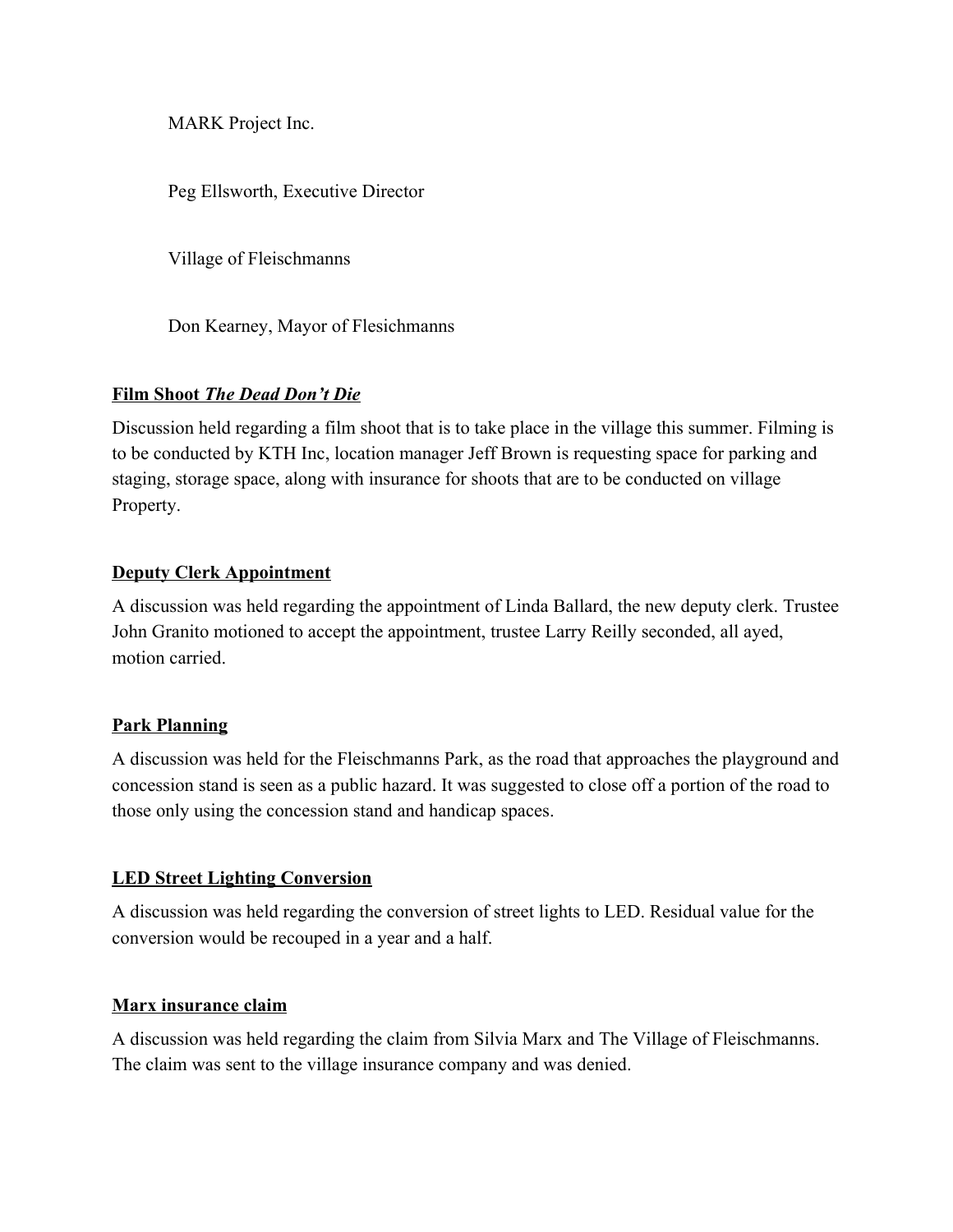MARK Project Inc.

Peg Ellsworth, Executive Director

Village of Fleischmanns

Don Kearney, Mayor of Flesichmanns

### **Film Shoot** *The Dead Don't Die*

Discussion held regarding a film shoot that is to take place in the village this summer. Filming is to be conducted by KTH Inc, location manager Jeff Brown is requesting space for parking and staging, storage space, along with insurance for shoots that are to be conducted on village Property.

### **Deputy Clerk Appointment**

A discussion was held regarding the appointment of Linda Ballard, the new deputy clerk. Trustee John Granito motioned to accept the appointment, trustee Larry Reilly seconded, all ayed, motion carried.

## **Park Planning**

A discussion was held for the Fleischmanns Park, as the road that approaches the playground and concession stand is seen as a public hazard. It was suggested to close off a portion of the road to those only using the concession stand and handicap spaces.

#### **LED Street Lighting Conversion**

A discussion was held regarding the conversion of street lights to LED. Residual value for the conversion would be recouped in a year and a half.

## **Marx insurance claim**

A discussion was held regarding the claim from Silvia Marx and The Village of Fleischmanns. The claim was sent to the village insurance company and was denied.